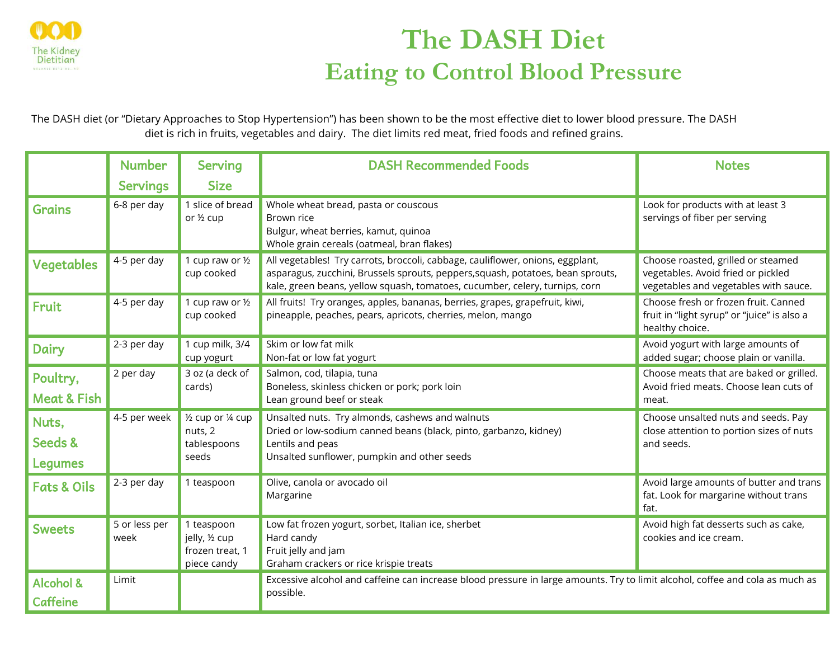

## **The DASH Diet Eating to Control Blood Pressure**

The DASH diet (or "Dietary Approaches to Stop Hypertension") has been shown to be the most effective diet to lower blood pressure. The DASH diet is rich in fruits, vegetables and dairy. The diet limits red meat, fried foods and refined grains.

|                                         | <b>Number</b>         | <b>Serving</b>                                                 | <b>DASH Recommended Foods</b>                                                                                                                                                                                                                    | <b>Notes</b>                                                                                                      |  |
|-----------------------------------------|-----------------------|----------------------------------------------------------------|--------------------------------------------------------------------------------------------------------------------------------------------------------------------------------------------------------------------------------------------------|-------------------------------------------------------------------------------------------------------------------|--|
|                                         | <b>Servings</b>       | <b>Size</b>                                                    |                                                                                                                                                                                                                                                  |                                                                                                                   |  |
| <b>Grains</b>                           | 6-8 per day           | 1 slice of bread<br>or 1/2 cup                                 | Whole wheat bread, pasta or couscous<br>Brown rice<br>Bulgur, wheat berries, kamut, quinoa<br>Whole grain cereals (oatmeal, bran flakes)                                                                                                         | Look for products with at least 3<br>servings of fiber per serving                                                |  |
| <b>Vegetables</b>                       | 4-5 per day           | 1 cup raw or 1/2<br>cup cooked                                 | All vegetables! Try carrots, broccoli, cabbage, cauliflower, onions, eggplant,<br>asparagus, zucchini, Brussels sprouts, peppers, squash, potatoes, bean sprouts,<br>kale, green beans, yellow squash, tomatoes, cucumber, celery, turnips, corn | Choose roasted, grilled or steamed<br>vegetables. Avoid fried or pickled<br>vegetables and vegetables with sauce. |  |
| Fruit                                   | 4-5 per day           | 1 cup raw or 1/2<br>cup cooked                                 | All fruits! Try oranges, apples, bananas, berries, grapes, grapefruit, kiwi,<br>pineapple, peaches, pears, apricots, cherries, melon, mango                                                                                                      | Choose fresh or frozen fruit. Canned<br>fruit in "light syrup" or "juice" is also a<br>healthy choice.            |  |
| <b>Dairy</b>                            | 2-3 per day           | 1 cup milk, 3/4<br>cup yogurt                                  | Skim or low fat milk<br>Non-fat or low fat yogurt                                                                                                                                                                                                | Avoid yogurt with large amounts of<br>added sugar; choose plain or vanilla.                                       |  |
| Poultry,<br><b>Meat &amp; Fish</b>      | 2 per day             | 3 oz (a deck of<br>cards)                                      | Salmon, cod, tilapia, tuna<br>Boneless, skinless chicken or pork; pork loin<br>Lean ground beef or steak                                                                                                                                         | Choose meats that are baked or grilled.<br>Avoid fried meats. Choose lean cuts of<br>meat.                        |  |
| Nuts,<br>Seeds &<br><b>Legumes</b>      | 4-5 per week          | 1/2 cup or 1/4 cup<br>nuts, 2<br>tablespoons<br>seeds          | Unsalted nuts. Try almonds, cashews and walnuts<br>Dried or low-sodium canned beans (black, pinto, garbanzo, kidney)<br>Lentils and peas<br>Unsalted sunflower, pumpkin and other seeds                                                          | Choose unsalted nuts and seeds. Pay<br>close attention to portion sizes of nuts<br>and seeds.                     |  |
| <b>Fats &amp; Oils</b>                  | 2-3 per day           | 1 teaspoon                                                     | Olive, canola or avocado oil<br>Margarine                                                                                                                                                                                                        | Avoid large amounts of butter and trans<br>fat. Look for margarine without trans<br>fat.                          |  |
| <b>Sweets</b>                           | 5 or less per<br>week | 1 teaspoon<br>jelly, 1/2 cup<br>frozen treat, 1<br>piece candy | Low fat frozen yogurt, sorbet, Italian ice, sherbet<br>Hard candy<br>Fruit jelly and jam<br>Graham crackers or rice krispie treats                                                                                                               | Avoid high fat desserts such as cake,<br>cookies and ice cream.                                                   |  |
| <b>Alcohol &amp;</b><br><b>Caffeine</b> | Limit                 |                                                                | Excessive alcohol and caffeine can increase blood pressure in large amounts. Try to limit alcohol, coffee and cola as much as<br>possible.                                                                                                       |                                                                                                                   |  |